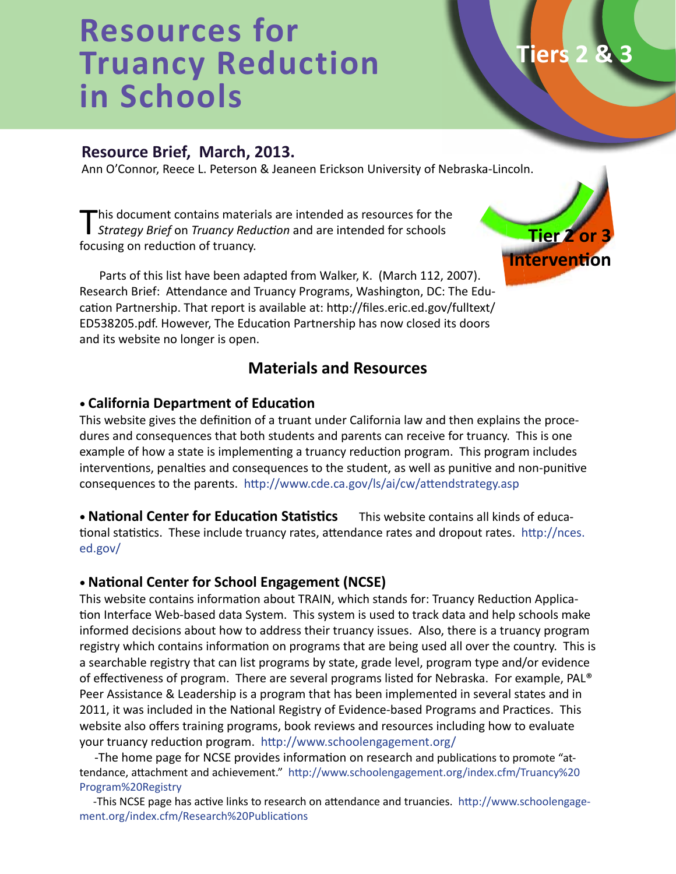# **Resources for Truancy Reduction in Schools**

### **Resource Brief, March, 2013.**

Ann O'Connor, Reece L. Peterson & Jeaneen Erickson University of Nebraska-Lincoln.

This document contains materials are intended as resources for the *Strategy Brief* on *Truancy Reduction* and are intended for schools focusing on reduction of truancy.

Parts of this list have been adapted from Walker, K. (March 112, 2007). Research Brief: Attendance and Truancy Programs, Washington, DC: The Education Partnership. That report is available at: http://files.eric.ed.gov/fulltext/ ED538205.pdf. However, The Education Partnership has now closed its doors and its website no longer is open.

## **Materials and Resources**

#### **• California Department of Education**

This website gives the definition of a truant under California law and then explains the procedures and consequences that both students and parents can receive for truancy. This is one example of how a state is implementing a truancy reduction program. This program includes interventions, penalties and consequences to the student, as well as punitive and non-punitive consequences to the parents. http://www.cde.ca.gov/ls/ai/cw/attendstrategy.asp

**• National Center for Education Statistics** This website contains all kinds of educational statistics. These include truancy rates, attendance rates and dropout rates. http://nces. ed.gov/

#### **• National Center for School Engagement (NCSE)**

This website contains information about TRAIN, which stands for: Truancy Reduction Application Interface Web-based data System. This system is used to track data and help schools make informed decisions about how to address their truancy issues. Also, there is a truancy program registry which contains information on programs that are being used all over the country. This is a searchable registry that can list programs by state, grade level, program type and/or evidence of effectiveness of program. There are several programs listed for Nebraska. For example, PAL® Peer Assistance & Leadership is a program that has been implemented in several states and in 2011, it was included in the National Registry of Evidence-based Programs and Practices. This website also offers training programs, book reviews and resources including how to evaluate your truancy reduction program. http://www.schoolengagement.org/

 -The home page for NCSE provides information on research and publications to promote "attendance, attachment and achievement." http://www.schoolengagement.org/index.cfm/Truancy%20 Program%20Registry

 -This NCSE page has active links to research on attendance and truancies. http://www.schoolengagement.org/index.cfm/Research%20Publications



# **Tiers**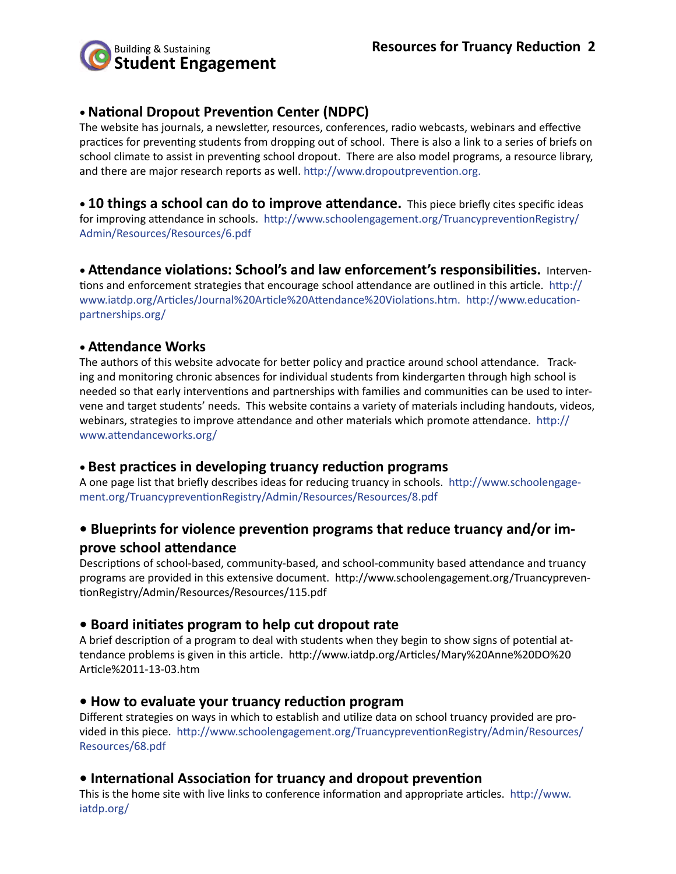

#### **• National Dropout Prevention Center (NDPC)**

The website has journals, a newsletter, resources, conferences, radio webcasts, webinars and effective practices for preventing students from dropping out of school. There is also a link to a series of briefs on school climate to assist in preventing school dropout. There are also model programs, a resource library, and there are major research reports as well. http://www.dropoutprevention.org.

**• 10 things a school can do to improve attendance.** This piece briefly cites specific ideas for improving attendance in schools. http://www.schoolengagement.org/TruancypreventionRegistry/ Admin/Resources/Resources/6.pdf

#### **• Attendance violations: School's and law enforcement's responsibilities.** Interven-

tions and enforcement strategies that encourage school attendance are outlined in this article. http:// www.iatdp.org/Articles/Journal%20Article%20Attendance%20Violations.htm. http://www.educationpartnerships.org/

#### **• Attendance Works**

The authors of this website advocate for better policy and practice around school attendance. Tracking and monitoring chronic absences for individual students from kindergarten through high school is needed so that early interventions and partnerships with families and communities can be used to intervene and target students' needs. This website contains a variety of materials including handouts, videos, webinars, strategies to improve attendance and other materials which promote attendance. http:// www.attendanceworks.org/

#### **• Best practices in developing truancy reduction programs**

A one page list that briefly describes ideas for reducing truancy in schools. http://www.schoolengagement.org/TruancypreventionRegistry/Admin/Resources/Resources/8.pdf

### **• Blueprints for violence prevention programs that reduce truancy and/or improve school attendance**

Descriptions of school-based, community-based, and school-community based attendance and truancy programs are provided in this extensive document. http://www.schoolengagement.org/TruancypreventionRegistry/Admin/Resources/Resources/115.pdf

#### **• Board initiates program to help cut dropout rate**

A brief description of a program to deal with students when they begin to show signs of potential attendance problems is given in this article. http://www.iatdp.org/Articles/Mary%20Anne%20DO%20 Article%2011-13-03.htm

#### **• How to evaluate your truancy reduction program**

Different strategies on ways in which to establish and utilize data on school truancy provided are provided in this piece. http://www.schoolengagement.org/TruancypreventionRegistry/Admin/Resources/ Resources/68.pdf

#### **• International Association for truancy and dropout prevention**

This is the home site with live links to conference information and appropriate articles. http://www. iatdp.org/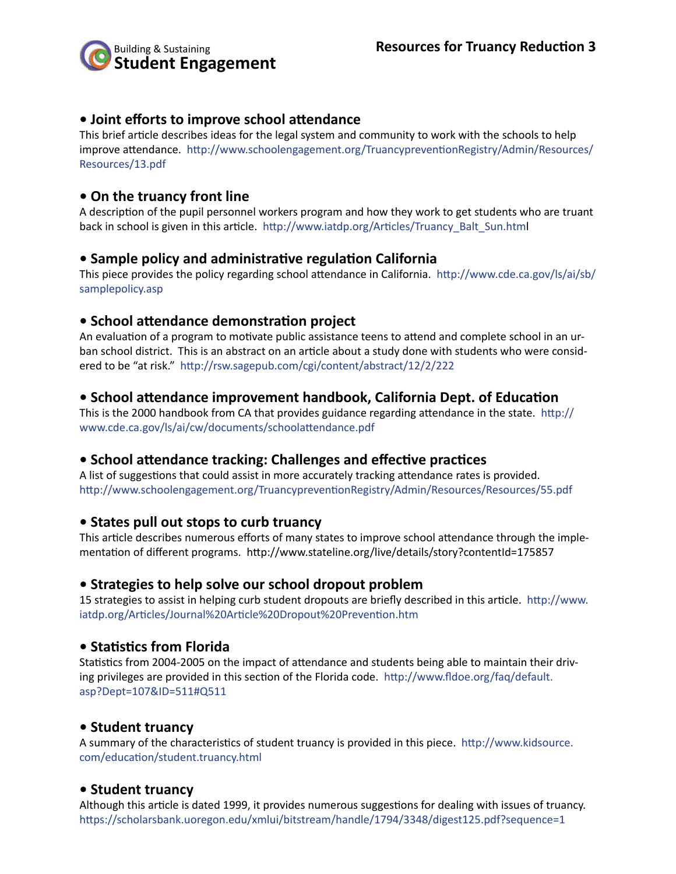

#### **• Joint efforts to improve school attendance**

This brief article describes ideas for the legal system and community to work with the schools to help improve attendance. http://www.schoolengagement.org/TruancypreventionRegistry/Admin/Resources/ Resources/13.pdf

#### **• On the truancy front line**

A description of the pupil personnel workers program and how they work to get students who are truant back in school is given in this article. http://www.iatdp.org/Articles/Truancy\_Balt\_Sun.html

#### **• Sample policy and administrative regulation California**

This piece provides the policy regarding school attendance in California. http://www.cde.ca.gov/ls/ai/sb/ samplepolicy.asp

#### **• School attendance demonstration project**

An evaluation of a program to motivate public assistance teens to attend and complete school in an urban school district. This is an abstract on an article about a study done with students who were considered to be "at risk." http://rsw.sagepub.com/cgi/content/abstract/12/2/222

#### **• School attendance improvement handbook, California Dept. of Education**

This is the 2000 handbook from CA that provides guidance regarding attendance in the state. http:// www.cde.ca.gov/ls/ai/cw/documents/schoolattendance.pdf

#### **• School attendance tracking: Challenges and effective practices**

A list of suggestions that could assist in more accurately tracking attendance rates is provided. http://www.schoolengagement.org/TruancypreventionRegistry/Admin/Resources/Resources/55.pdf

#### **• States pull out stops to curb truancy**

This article describes numerous efforts of many states to improve school attendance through the implementation of different programs. http://www.stateline.org/live/details/story?contentId=175857

#### **• Strategies to help solve our school dropout problem**

15 strategies to assist in helping curb student dropouts are briefly described in this article. http://www. iatdp.org/Articles/Journal%20Article%20Dropout%20Prevention.htm

#### **• Statistics from Florida**

Statistics from 2004-2005 on the impact of attendance and students being able to maintain their driving privileges are provided in this section of the Florida code. http://www.fldoe.org/faq/default. asp?Dept=107&ID=511#Q511

#### **• Student truancy**

A summary of the characteristics of student truancy is provided in this piece. http://www.kidsource. com/education/student.truancy.html

#### **• Student truancy**

Although this article is dated 1999, it provides numerous suggestions for dealing with issues of truancy. https://scholarsbank.uoregon.edu/xmlui/bitstream/handle/1794/3348/digest125.pdf?sequence=1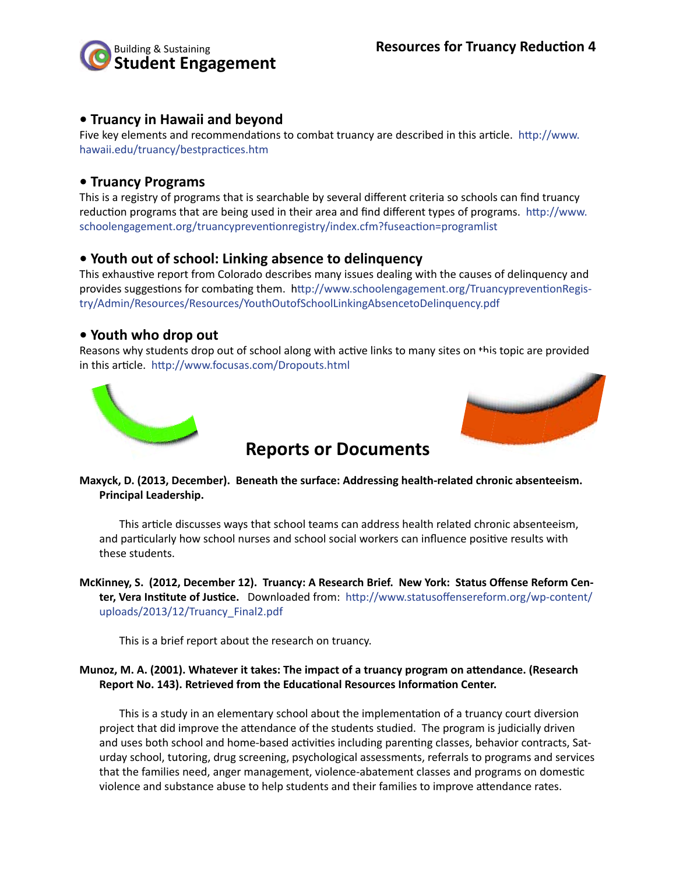

#### **• Truancy in Hawaii and beyond**

Five key elements and recommendations to combat truancy are described in this article. http://www. hawaii.edu/truancy/bestpractices.htm

#### **• Truancy Programs**

This is a registry of programs that is searchable by several different criteria so schools can find truancy reduction programs that are being used in their area and find different types of programs. http://www. schoolengagement.org/truancypreventionregistry/index.cfm?fuseaction=programlist

#### **• Youth out of school: Linking absence to delinquency**

This exhaustive report from Colorado describes many issues dealing with the causes of delinquency and provides suggestions for combating them. http://www.schoolengagement.org/TruancypreventionRegistry/Admin/Resources/Resources/YouthOutofSchoolLinkingAbsencetoDelinquency.pdf

#### **• Youth who drop out**

Reasons why students drop out of school along with active links to many sites on this topic are provided in this article. http://www.focusas.com/Dropouts.html





# **Reports or Documents**

#### **Maxyck, D. (2013, December). Beneath the surface: Addressing health-related chronic absenteeism. Principal Leadership.**

This article discusses ways that school teams can address health related chronic absenteeism, and particularly how school nurses and school social workers can influence positive results with these students.

**McKinney, S. (2012, December 12). Truancy: A Research Brief. New York: Status Offense Reform Center, Vera Institute of Justice.** Downloaded from: http://www.statusoffensereform.org/wp-content/ uploads/2013/12/Truancy\_Final2.pdf

This is a brief report about the research on truancy.

#### **Munoz, M. A. (2001). Whatever it takes: The impact of a truancy program on attendance. (Research Report No. 143). Retrieved from the Educational Resources Information Center.**

This is a study in an elementary school about the implementation of a truancy court diversion project that did improve the attendance of the students studied. The program is judicially driven and uses both school and home-based activities including parenting classes, behavior contracts, Saturday school, tutoring, drug screening, psychological assessments, referrals to programs and services that the families need, anger management, violence-abatement classes and programs on domestic violence and substance abuse to help students and their families to improve attendance rates.